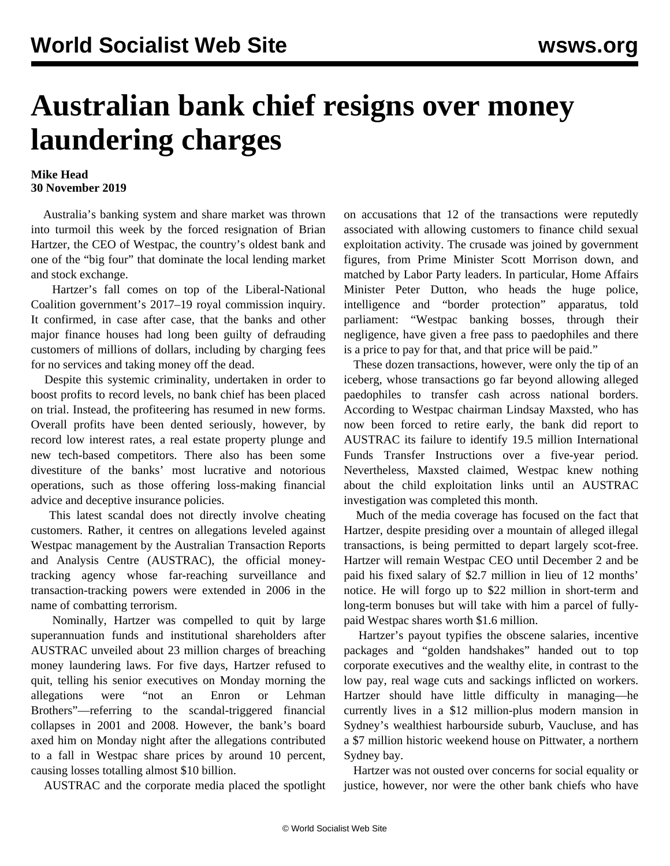## **Australian bank chief resigns over money laundering charges**

## **Mike Head 30 November 2019**

 Australia's banking system and share market was thrown into turmoil this week by the forced resignation of Brian Hartzer, the CEO of Westpac, the country's oldest bank and one of the "big four" that dominate the local lending market and stock exchange.

 Hartzer's fall comes on top of the Liberal-National Coalition government's 2017–19 royal commission inquiry. It confirmed, in case after case, that the banks and other major finance houses had long been guilty of defrauding customers of millions of dollars, including by charging fees for no services and taking money off the dead.

 Despite this systemic criminality, undertaken in order to boost profits to record levels, no bank chief has been placed on trial. Instead, the profiteering has resumed in new forms. Overall profits have been dented seriously, however, by record low interest rates, a real estate property plunge and new tech-based competitors. There also has been some divestiture of the banks' most lucrative and notorious operations, such as those offering loss-making financial advice and deceptive insurance policies.

 This latest scandal does not directly involve cheating customers. Rather, it centres on allegations leveled against Westpac management by the Australian Transaction Reports and Analysis Centre (AUSTRAC), the official moneytracking agency whose far-reaching surveillance and transaction-tracking powers were extended in 2006 in the name of combatting terrorism.

 Nominally, Hartzer was compelled to quit by large superannuation funds and institutional shareholders after AUSTRAC unveiled about 23 million charges of breaching money laundering laws. For five days, Hartzer refused to quit, telling his senior executives on Monday morning the allegations were "not an Enron or Lehman Brothers"—referring to the scandal-triggered financial collapses in 2001 and 2008. However, the bank's board axed him on Monday night after the allegations contributed to a fall in Westpac share prices by around 10 percent, causing losses totalling almost \$10 billion.

AUSTRAC and the corporate media placed the spotlight

on accusations that 12 of the transactions were reputedly associated with allowing customers to finance child sexual exploitation activity. The crusade was joined by government figures, from Prime Minister Scott Morrison down, and matched by Labor Party leaders. In particular, Home Affairs Minister Peter Dutton, who heads the huge police, intelligence and "border protection" apparatus, told parliament: "Westpac banking bosses, through their negligence, have given a free pass to paedophiles and there is a price to pay for that, and that price will be paid."

 These dozen transactions, however, were only the tip of an iceberg, whose transactions go far beyond allowing alleged paedophiles to transfer cash across national borders. According to Westpac chairman Lindsay Maxsted, who has now been forced to retire early, the bank did report to AUSTRAC its failure to identify 19.5 million International Funds Transfer Instructions over a five-year period. Nevertheless, Maxsted claimed, Westpac knew nothing about the child exploitation links until an AUSTRAC investigation was completed this month.

 Much of the media coverage has focused on the fact that Hartzer, despite presiding over a mountain of alleged illegal transactions, is being permitted to depart largely scot-free. Hartzer will remain Westpac CEO until December 2 and be paid his fixed salary of \$2.7 million in lieu of 12 months' notice. He will forgo up to \$22 million in short-term and long-term bonuses but will take with him a parcel of fullypaid Westpac shares worth \$1.6 million.

 Hartzer's payout typifies the obscene salaries, incentive packages and "golden handshakes" handed out to top corporate executives and the wealthy elite, in contrast to the low pay, real wage cuts and sackings inflicted on workers. Hartzer should have little difficulty in managing—he currently lives in a \$12 million-plus modern mansion in Sydney's wealthiest harbourside suburb, Vaucluse, and has a \$7 million historic weekend house on Pittwater, a northern Sydney bay.

 Hartzer was not ousted over concerns for social equality or justice, however, nor were the other bank chiefs who have